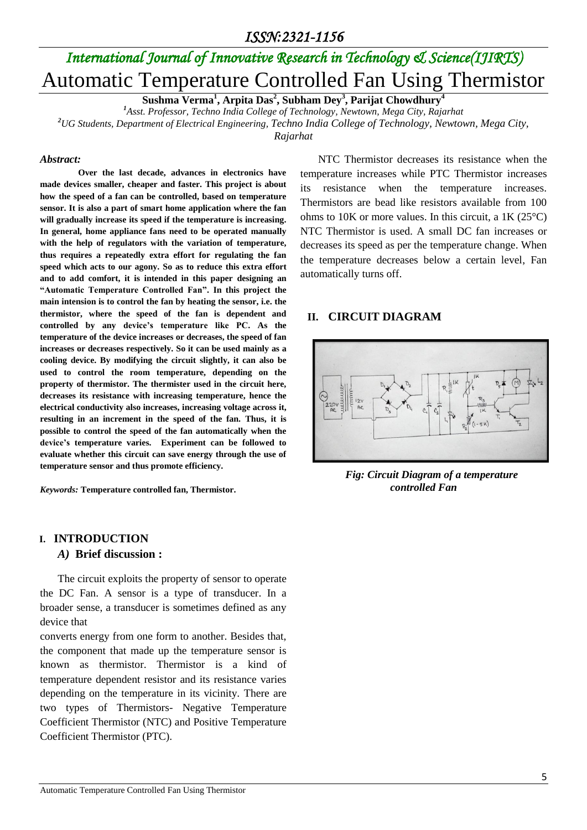# *International Journal of Innovative Research in Technology & Science(IJIRTS)* Automatic Temperature Controlled Fan Using Thermistor

**Sushma Verma<sup>1</sup> , Arpita Das<sup>2</sup> , Subham Dey<sup>3</sup> , Parijat Chowdhury<sup>4</sup>**

*<sup>1</sup>Asst. Professor, Techno India College of Technology, Newtown, Mega City, Rajarhat <sup>2</sup>UG Students, Department of Electrical Engineering, Techno India College of Technology, Newtown, Mega City,* 

*Rajarhat*

### *Abstract:*

**Over the last decade, advances in electronics have made devices smaller, cheaper and faster. This project is about how the speed of a fan can be controlled, based on temperature sensor. It is also a part of smart home application where the fan will gradually increase its speed if the temperature is increasing. In general, home appliance fans need to be operated manually with the help of regulators with the variation of temperature, thus requires a repeatedly extra effort for regulating the fan speed which acts to our agony. So as to reduce this extra effort and to add comfort, it is intended in this paper designing an "Automatic Temperature Controlled Fan". In this project the main intension is to control the fan by heating the sensor, i.e. the thermistor, where the speed of the fan is dependent and controlled by any device's temperature like PC. As the temperature of the device increases or decreases, the speed of fan increases or decreases respectively. So it can be used mainly as a cooling device. By modifying the circuit slightly, it can also be used to control the room temperature, depending on the property of thermistor. The thermister used in the circuit here, decreases its resistance with increasing temperature, hence the electrical conductivity also increases, increasing voltage across it, resulting in an increment in the speed of the fan. Thus, it is possible to control the speed of the fan automatically when the device's temperature varies. Experiment can be followed to evaluate whether this circuit can save energy through the use of temperature sensor and thus promote efficiency.**

*Keywords:* **Temperature controlled fan, Thermistor.**

### **I. INTRODUCTION**

### *A)* **Brief discussion :**

The circuit exploits the property of sensor to operate the DC Fan. A sensor is a type of transducer. In a broader sense, a transducer is sometimes defined as any device that

converts energy from one form to another. Besides that, the component that made up the temperature sensor is known as thermistor. Thermistor is a kind of temperature dependent resistor and its resistance varies depending on the temperature in its vicinity. There are two types of Thermistors- Negative Temperature Coefficient Thermistor (NTC) and Positive Temperature Coefficient Thermistor (PTC).

NTC Thermistor decreases its resistance when the temperature increases while PTC Thermistor increases its resistance when the temperature increases. Thermistors are bead like resistors available from 100 ohms to 10K or more values. In this circuit, a 1K (25°C) NTC Thermistor is used. A small DC fan increases or decreases its speed as per the temperature change. When the temperature decreases below a certain level, Fan automatically turns off.

### **II. CIRCUIT DIAGRAM**



 *Fig: Circuit Diagram of a temperature controlled Fan*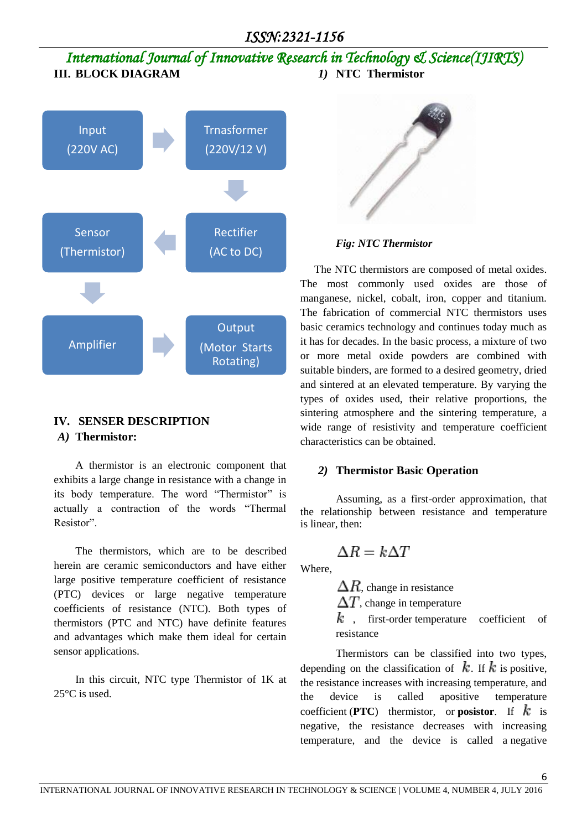## *ISSN:2321-1156*

*International Journal of Innovative Research in Technology & Science(IJIRTS)* **III. BLOCK DIAGRAM** *1)* **NTC Thermistor**



### **IV. SENSER DESCRIPTION** *A)* **Thermistor:**

A thermistor is an electronic component that exhibits a large change in resistance with a change in its body temperature. The word "Thermistor" is actually a contraction of the words "Thermal Resistor".

The thermistors, which are to be described herein are ceramic semiconductors and have either large positive temperature coefficient of resistance (PTC) devices or large negative temperature coefficients of resistance (NTC). Both types of thermistors (PTC and NTC) have definite features and advantages which make them ideal for certain sensor applications.

In this circuit, NTC type Thermistor of 1K at 25°C is used.



### *Fig: NTC Thermistor*

The NTC thermistors are composed of metal oxides. The most commonly used oxides are those of manganese, nickel, cobalt, iron, copper and titanium. The fabrication of commercial NTC thermistors uses basic ceramics technology and continues today much as it has for decades. In the basic process, a mixture of two or more metal oxide powders are combined with suitable binders, are formed to a desired geometry, dried and sintered at an elevated temperature. By varying the types of oxides used, their relative proportions, the sintering atmosphere and the sintering temperature, a wide range of resistivity and temperature coefficient characteristics can be obtained.

### *2)* **Thermistor Basic Operation**

Assuming, as a first-order approximation, that the relationship between resistance and temperature is [linear,](https://en.wikipedia.org/wiki/Linear) then:

$$
\Delta R = k \Delta T
$$

Where,

 $\Delta R$ , change in resistance

 $\Delta T$ , change in temperature

 $k$  , first-order temperature coefficient of [resistance](https://en.wikipedia.org/wiki/Temperature_coefficient)

Thermistors can be classified into two types, depending on the classification of  $k$ . If  $k$  is [positive,](https://en.wikipedia.org/wiki/Positive_number) the resistance increases with increasing temperature, and the device is called [apositive temperature](https://en.wikipedia.org/wiki/Temperature_coefficient#Positive_temperature_coefficient_of_resistance)  [coefficient](https://en.wikipedia.org/wiki/Temperature_coefficient#Positive_temperature_coefficient_of_resistance) (**PTC**) thermistor, or **posistor**. If  $k$  is negative, the resistance decreases with increasing temperature, and the device is called a [negative](https://en.wikipedia.org/wiki/Temperature_coefficient#Negative_temperature_coefficient) 

6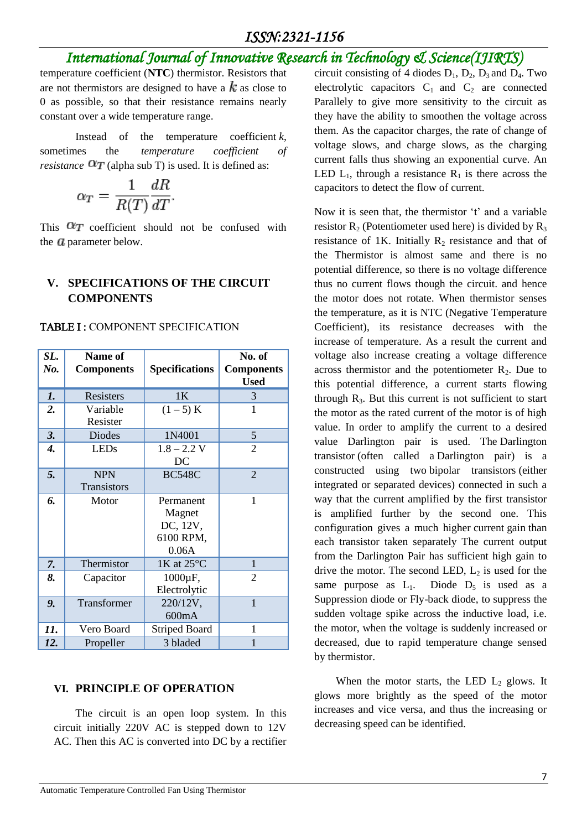# *ISSN:2321-1156*

# *International Journal of Innovative Research in Technology & Science(IJIRTS)*

temperature coefficient (**NTC**) thermistor. Resistors that are not thermistors are designed to have a  $k$  as close to 0 as possible, so that their resistance remains nearly constant over a wide temperature range.

Instead of the temperature coefficient *k*, sometimes the *temperature coefficient of resistance*  $\alpha_T$  (alpha sub T) is used. It is defined as:

$$
\alpha_T = \frac{1}{R(T)} \frac{dR}{dT}.
$$

This  $\alpha_T$  coefficient should not be confused with the  $a$  parameter below.

### **V. SPECIFICATIONS OF THE CIRCUIT COMPONENTS**

#### TABLE I : COMPONENT SPECIFICATION

| SL.<br>No. | Name of<br><b>Components</b> | <b>Specifications</b>                                 | No. of<br><b>Components</b><br><b>Used</b> |
|------------|------------------------------|-------------------------------------------------------|--------------------------------------------|
| 1.         | Resisters                    | 1 <sub>K</sub>                                        | 3                                          |
| 2.         | Variable<br>Resister         | $(1 - 5) K$                                           | 1                                          |
| 3.         | <b>Diodes</b>                | 1N4001                                                | 5                                          |
| 4.         | <b>LEDs</b>                  | $1.8 - 2.2$ V<br>DC                                   | $\overline{2}$                             |
| 5.         | <b>NPN</b><br>Transistors    | <b>BC548C</b>                                         | $\overline{2}$                             |
| 6.         | Motor                        | Permanent<br>Magnet<br>DC, 12V,<br>6100 RPM,<br>0.06A | $\mathbf{1}$                               |
| 7.         | Thermistor                   | 1K at 25°C                                            | 1                                          |
| 8.         | Capacitor                    | 1000µF,<br>Electrolytic                               | $\overline{2}$                             |
| 9.         | Transformer                  | 220/12V,<br>600mA                                     | $\mathbf{1}$                               |
| 11.        | Vero Board                   | <b>Striped Board</b>                                  | 1                                          |
| 12.        | Propeller                    | 3 bladed                                              | 1                                          |

### **VI. PRINCIPLE OF OPERATION**

The circuit is an open loop system. In this circuit initially 220V AC is stepped down to 12V AC. Then this AC is converted into DC by a rectifier circuit consisting of 4 diodes  $D_1$ ,  $D_2$ ,  $D_3$  and  $D_4$ . Two electrolytic capacitors  $C_1$  and  $C_2$  are connected Parallely to give more sensitivity to the circuit as they have the ability to smoothen the voltage across them. As the capacitor charges, the rate of change of voltage slows, and charge slows, as the charging current falls thus showing an exponential curve. An LED  $L_1$ , through a resistance  $R_1$  is there across the capacitors to detect the flow of current.

Now it is seen that, the thermistor 't' and a variable resistor  $R_2$  (Potentiometer used here) is divided by  $R_3$ resistance of 1K. Initially  $R_2$  resistance and that of the Thermistor is almost same and there is no potential difference, so there is no voltage difference thus no current flows though the circuit. and hence the motor does not rotate. When thermistor senses the temperature, as it is NTC (Negative Temperature Coefficient), its resistance decreases with the increase of temperature. As a result the current and voltage also increase creating a voltage difference across thermistor and the potentiometer  $R_2$ . Due to this potential difference, a current starts flowing through  $R_3$ . But this current is not sufficient to start the motor as the rated current of the motor is of high value. In order to amplify the current to a desired value Darlington pair is used. The Darlington transistor (often called a Darlington pair) is a constructed using two bipolar transistors (either integrated or separated devices) connected in such a way that the current amplified by the first transistor is amplified further by the second one. This configuration gives a much higher current gain than each transistor taken separately The current output from the Darlington Pair has sufficient high gain to drive the motor. The second LED,  $L_2$  is used for the same purpose as  $L_1$ . Diode  $D_5$  is used as a Suppression diode or Fly-back diode, to suppress the sudden voltage spike across the inductive load, i.e. the motor, when the voltage is suddenly increased or decreased, due to rapid temperature change sensed by thermistor.

When the motor starts, the LED  $L_2$  glows. It glows more brightly as the speed of the motor increases and vice versa, and thus the increasing or decreasing speed can be identified.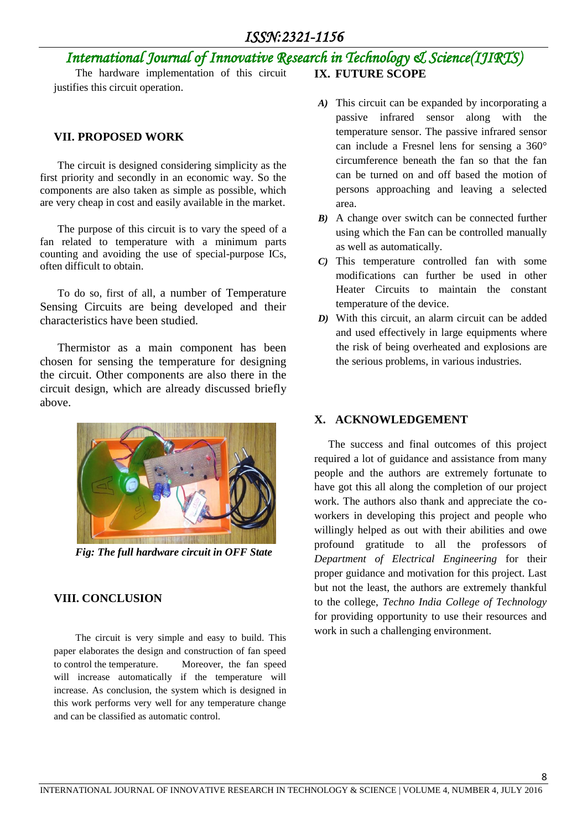# *International Journal of Innovative Research in Technology & Science(IJIRTS)*

**IX. FUTURE SCOPE**

The hardware implementation of this circuit justifies this circuit operation.

### **VII. PROPOSED WORK**

The circuit is designed considering simplicity as the first priority and secondly in an economic way. So the components are also taken as simple as possible, which are very cheap in cost and easily available in the market.

The purpose of this circuit is to vary the speed of a fan related to temperature with a minimum parts counting and avoiding the use of special-purpose ICs, often difficult to obtain.

To do so, first of all, a number of Temperature Sensing Circuits are being developed and their characteristics have been studied.

Thermistor as a main component has been chosen for sensing the temperature for designing the circuit. Other components are also there in the circuit design, which are already discussed briefly above.



*Fig: The full hardware circuit in OFF State*

### **VIII. CONCLUSION**

The circuit is very simple and easy to build. This paper elaborates the design and construction of fan speed to control the temperature. Moreover, the fan speed will increase automatically if the temperature will increase. As conclusion, the system which is designed in this work performs very well for any temperature change and can be classified as automatic control.

- *A)* This circuit can be expanded by incorporating a passive infrared sensor along with the temperature sensor. The passive infrared sensor can include a Fresnel lens for sensing a 360° circumference beneath the fan so that the fan can be turned on and off based the motion of persons approaching and leaving a selected area.
- *B)* A change over switch can be connected further using which the Fan can be controlled manually as well as automatically.
- *C)* This temperature controlled fan with some modifications can further be used in other Heater Circuits to maintain the constant temperature of the device.
- *D)* With this circuit, an alarm circuit can be added and used effectively in large equipments where the risk of being overheated and explosions are the serious problems, in various industries.

### **X. ACKNOWLEDGEMENT**

The success and final outcomes of this project required a lot of guidance and assistance from many people and the authors are extremely fortunate to have got this all along the completion of our project work. The authors also thank and appreciate the coworkers in developing this project and people who willingly helped as out with their abilities and owe profound gratitude to all the professors of *Department of Electrical Engineering* for their proper guidance and motivation for this project. Last but not the least, the authors are extremely thankful to the college, *Techno India College of Technology* for providing opportunity to use their resources and work in such a challenging environment.